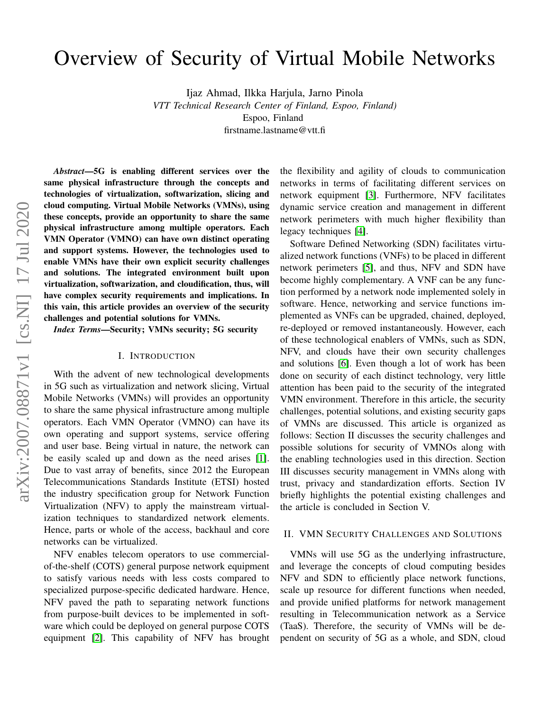# Overview of Security of Virtual Mobile Networks

Ijaz Ahmad, Ilkka Harjula, Jarno Pinola *VTT Technical Research Center of Finland, Espoo, Finland)* Espoo, Finland firstname.lastname@vtt.fi

*Abstract*—5G is enabling different services over the same physical infrastructure through the concepts and technologies of virtualization, softwarization, slicing and cloud computing. Virtual Mobile Networks (VMNs), using these concepts, provide an opportunity to share the same physical infrastructure among multiple operators. Each VMN Operator (VMNO) can have own distinct operating and support systems. However, the technologies used to enable VMNs have their own explicit security challenges and solutions. The integrated environment built upon virtualization, softwarization, and cloudification, thus, will have complex security requirements and implications. In this vain, this article provides an overview of the security challenges and potential solutions for VMNs.

*Index Terms*—Security; VMNs security; 5G security

### I. INTRODUCTION

With the advent of new technological developments in 5G such as virtualization and network slicing, Virtual Mobile Networks (VMNs) will provides an opportunity to share the same physical infrastructure among multiple operators. Each VMN Operator (VMNO) can have its own operating and support systems, service offering and user base. Being virtual in nature, the network can be easily scaled up and down as the need arises [\[1\]](#page-4-0). Due to vast array of benefits, since 2012 the European Telecommunications Standards Institute (ETSI) hosted the industry specification group for Network Function Virtualization (NFV) to apply the mainstream virtualization techniques to standardized network elements. Hence, parts or whole of the access, backhaul and core networks can be virtualized.

NFV enables telecom operators to use commercialof-the-shelf (COTS) general purpose network equipment to satisfy various needs with less costs compared to specialized purpose-specific dedicated hardware. Hence, NFV paved the path to separating network functions from purpose-built devices to be implemented in software which could be deployed on general purpose COTS equipment [\[2\]](#page-4-1). This capability of NFV has brought the flexibility and agility of clouds to communication networks in terms of facilitating different services on network equipment [\[3\]](#page-4-2). Furthermore, NFV facilitates dynamic service creation and management in different network perimeters with much higher flexibility than legacy techniques [\[4\]](#page-4-3).

Software Defined Networking (SDN) facilitates virtualized network functions (VNFs) to be placed in different network perimeters [\[5\]](#page-4-4), and thus, NFV and SDN have become highly complementary. A VNF can be any function performed by a network node implemented solely in software. Hence, networking and service functions implemented as VNFs can be upgraded, chained, deployed, re-deployed or removed instantaneously. However, each of these technological enablers of VMNs, such as SDN, NFV, and clouds have their own security challenges and solutions [\[6\]](#page-4-5). Even though a lot of work has been done on security of each distinct technology, very little attention has been paid to the security of the integrated VMN environment. Therefore in this article, the security challenges, potential solutions, and existing security gaps of VMNs are discussed. This article is organized as follows: Section II discusses the security challenges and possible solutions for security of VMNOs along with the enabling technologies used in this direction. Section III discusses security management in VMNs along with trust, privacy and standardization efforts. Section IV briefly highlights the potential existing challenges and the article is concluded in Section V.

### II. VMN SECURITY CHALLENGES AND SOLUTIONS

VMNs will use 5G as the underlying infrastructure, and leverage the concepts of cloud computing besides NFV and SDN to efficiently place network functions, scale up resource for different functions when needed, and provide unified platforms for network management resulting in Telecommunication network as a Service (TaaS). Therefore, the security of VMNs will be dependent on security of 5G as a whole, and SDN, cloud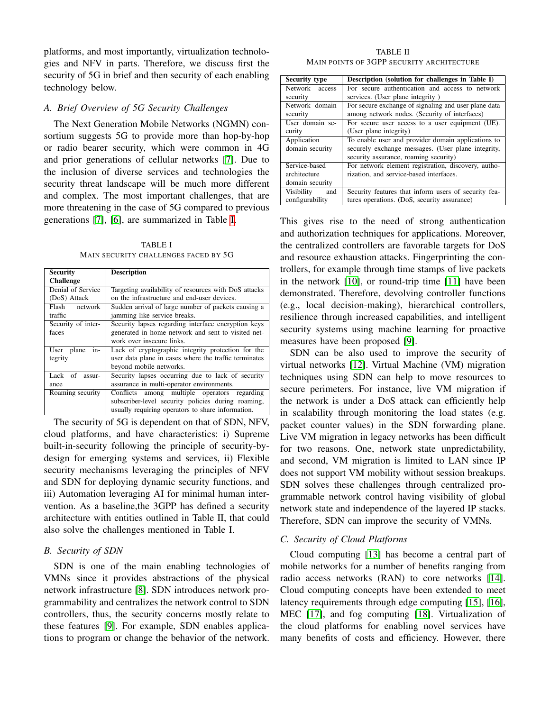platforms, and most importantly, virtualization technologies and NFV in parts. Therefore, we discuss first the security of 5G in brief and then security of each enabling technology below.

## *A. Brief Overview of 5G Security Challenges*

The Next Generation Mobile Networks (NGMN) consortium suggests 5G to provide more than hop-by-hop or radio bearer security, which were common in 4G and prior generations of cellular networks [\[7\]](#page-4-6). Due to the inclusion of diverse services and technologies the security threat landscape will be much more different and complex. The most important challenges, that are more threatening in the case of 5G compared to previous generations [\[7\]](#page-4-6), [\[6\]](#page-4-5), are summarized in Table [I.](#page-1-0)

TABLE I MAIN SECURITY CHALLENGES FACED BY 5G

<span id="page-1-0"></span>

| <b>Security</b>    | <b>Description</b>                                    |  |  |  |  |
|--------------------|-------------------------------------------------------|--|--|--|--|
| <b>Challenge</b>   |                                                       |  |  |  |  |
| Denial of Service  | Targeting availability of resources with DoS attacks  |  |  |  |  |
| (DoS) Attack       | on the infrastructure and end-user devices.           |  |  |  |  |
| Flash network      | Sudden arrival of large number of packets causing a   |  |  |  |  |
| traffic            | jamming like service breaks.                          |  |  |  |  |
| Security of inter- | Security lapses regarding interface encryption keys   |  |  |  |  |
| faces              | generated in home network and sent to visited net-    |  |  |  |  |
|                    | work over insecure links.                             |  |  |  |  |
| User plane<br>in-  | Lack of cryptographic integrity protection for the    |  |  |  |  |
| tegrity            | user data plane in cases where the traffic terminates |  |  |  |  |
|                    | beyond mobile networks.                               |  |  |  |  |
| Lack of<br>assur-  | Security lapses occurring due to lack of security     |  |  |  |  |
| ance               | assurance in multi-operator environments.             |  |  |  |  |
| Roaming security   | Conflicts among multiple operators regarding          |  |  |  |  |
|                    | subscriber-level security policies during roaming,    |  |  |  |  |
|                    | usually requiring operators to share information.     |  |  |  |  |

The security of 5G is dependent on that of SDN, NFV, cloud platforms, and have characteristics: i) Supreme built-in-security following the principle of security-bydesign for emerging systems and services, ii) Flexible security mechanisms leveraging the principles of NFV and SDN for deploying dynamic security functions, and iii) Automation leveraging AI for minimal human intervention. As a baseline,the 3GPP has defined a security architecture with entities outlined in Table II, that could also solve the challenges mentioned in Table I.

## *B. Security of SDN*

SDN is one of the main enabling technologies of VMNs since it provides abstractions of the physical network infrastructure [\[8\]](#page-4-7). SDN introduces network programmability and centralizes the network control to SDN controllers, thus, the security concerns mostly relate to these features [\[9\]](#page-5-0). For example, SDN enables applications to program or change the behavior of the network.

TABLE II MAIN POINTS OF 3GPP SECURITY ARCHITECTURE

| <b>Security type</b>                             | Description (solution for challenges in Table I)                                                                                                  |
|--------------------------------------------------|---------------------------------------------------------------------------------------------------------------------------------------------------|
| Network access<br>security                       | For secure authentication and access to network<br>services. (User plane integrity)                                                               |
| Network domain<br>security                       | For secure exchange of signaling and user plane data<br>among network nodes. (Security of interfaces)                                             |
| User domain se-<br>curity                        | For secure user access to a user equipment (UE).<br>(User plane integrity)                                                                        |
| Application<br>domain security                   | To enable user and provider domain applications to<br>securely exchange messages. (User plane integrity,<br>security assurance, roaming security) |
| Service-based<br>architecture<br>domain security | For network element registration, discovery, autho-<br>rization, and service-based interfaces.                                                    |
| Visibility<br>and<br>configurability             | Security features that inform users of security fea-<br>tures operations. (DoS, security assurance)                                               |

This gives rise to the need of strong authentication and authorization techniques for applications. Moreover, the centralized controllers are favorable targets for DoS and resource exhaustion attacks. Fingerprinting the controllers, for example through time stamps of live packets in the network [\[10\]](#page-5-1), or round-trip time [\[11\]](#page-5-2) have been demonstrated. Therefore, devolving controller functions (e.g., local decision-making), hierarchical controllers, resilience through increased capabilities, and intelligent security systems using machine learning for proactive measures have been proposed [\[9\]](#page-5-0).

SDN can be also used to improve the security of virtual networks [\[12\]](#page-5-3). Virtual Machine (VM) migration techniques using SDN can help to move resources to secure perimeters. For instance, live VM migration if the network is under a DoS attack can efficiently help in scalability through monitoring the load states (e.g. packet counter values) in the SDN forwarding plane. Live VM migration in legacy networks has been difficult for two reasons. One, network state unpredictability, and second, VM migration is limited to LAN since IP does not support VM mobility without session breakups. SDN solves these challenges through centralized programmable network control having visibility of global network state and independence of the layered IP stacks. Therefore, SDN can improve the security of VMNs.

## *C. Security of Cloud Platforms*

Cloud computing [\[13\]](#page-5-4) has become a central part of mobile networks for a number of benefits ranging from radio access networks (RAN) to core networks [\[14\]](#page-5-5). Cloud computing concepts have been extended to meet latency requirements through edge computing [\[15\]](#page-5-6), [\[16\]](#page-5-7), MEC [\[17\]](#page-5-8), and fog computing [\[18\]](#page-5-9). Virtualization of the cloud platforms for enabling novel services have many benefits of costs and efficiency. However, there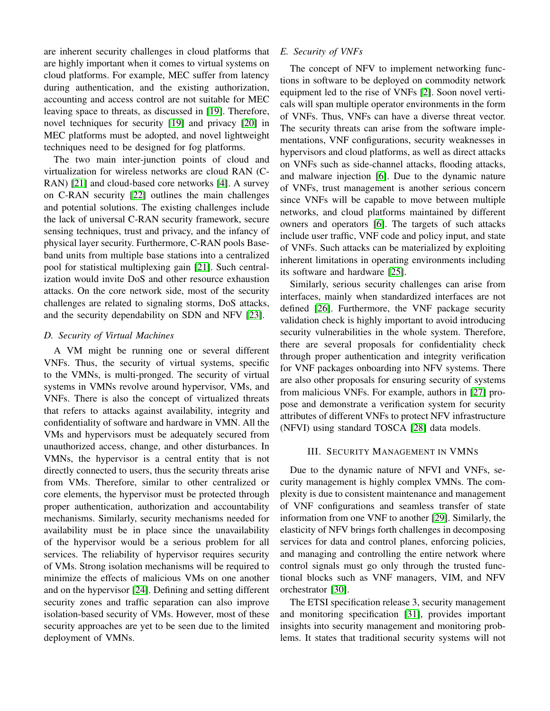are inherent security challenges in cloud platforms that are highly important when it comes to virtual systems on cloud platforms. For example, MEC suffer from latency during authentication, and the existing authorization, accounting and access control are not suitable for MEC leaving space to threats, as discussed in [\[19\]](#page-5-10). Therefore, novel techniques for security [\[19\]](#page-5-10) and privacy [\[20\]](#page-5-11) in MEC platforms must be adopted, and novel lightweight techniques need to be designed for fog platforms.

The two main inter-junction points of cloud and virtualization for wireless networks are cloud RAN (C-RAN) [\[21\]](#page-5-12) and cloud-based core networks [\[4\]](#page-4-3). A survey on C-RAN security [\[22\]](#page-5-13) outlines the main challenges and potential solutions. The existing challenges include the lack of universal C-RAN security framework, secure sensing techniques, trust and privacy, and the infancy of physical layer security. Furthermore, C-RAN pools Baseband units from multiple base stations into a centralized pool for statistical multiplexing gain [\[21\]](#page-5-12). Such centralization would invite DoS and other resource exhaustion attacks. On the core network side, most of the security challenges are related to signaling storms, DoS attacks, and the security dependability on SDN and NFV [\[23\]](#page-5-14).

## *D. Security of Virtual Machines*

A VM might be running one or several different VNFs. Thus, the security of virtual systems, specific to the VMNs, is multi-pronged. The security of virtual systems in VMNs revolve around hypervisor, VMs, and VNFs. There is also the concept of virtualized threats that refers to attacks against availability, integrity and confidentiality of software and hardware in VMN. All the VMs and hypervisors must be adequately secured from unauthorized access, change, and other disturbances. In VMNs, the hypervisor is a central entity that is not directly connected to users, thus the security threats arise from VMs. Therefore, similar to other centralized or core elements, the hypervisor must be protected through proper authentication, authorization and accountability mechanisms. Similarly, security mechanisms needed for availability must be in place since the unavailability of the hypervisor would be a serious problem for all services. The reliability of hypervisor requires security of VMs. Strong isolation mechanisms will be required to minimize the effects of malicious VMs on one another and on the hypervisor [\[24\]](#page-5-15). Defining and setting different security zones and traffic separation can also improve isolation-based security of VMs. However, most of these security approaches are yet to be seen due to the limited deployment of VMNs.

## *E. Security of VNFs*

The concept of NFV to implement networking functions in software to be deployed on commodity network equipment led to the rise of VNFs [\[2\]](#page-4-1). Soon novel verticals will span multiple operator environments in the form of VNFs. Thus, VNFs can have a diverse threat vector. The security threats can arise from the software implementations, VNF configurations, security weaknesses in hypervisors and cloud platforms, as well as direct attacks on VNFs such as side-channel attacks, flooding attacks, and malware injection [\[6\]](#page-4-5). Due to the dynamic nature of VNFs, trust management is another serious concern since VNFs will be capable to move between multiple networks, and cloud platforms maintained by different owners and operators [\[6\]](#page-4-5). The targets of such attacks include user traffic, VNF code and policy input, and state of VNFs. Such attacks can be materialized by exploiting inherent limitations in operating environments including its software and hardware [\[25\]](#page-5-16).

Similarly, serious security challenges can arise from interfaces, mainly when standardized interfaces are not defined [\[26\]](#page-5-17). Furthermore, the VNF package security validation check is highly important to avoid introducing security vulnerabilities in the whole system. Therefore, there are several proposals for confidentiality check through proper authentication and integrity verification for VNF packages onboarding into NFV systems. There are also other proposals for ensuring security of systems from malicious VNFs. For example, authors in [\[27\]](#page-5-18) propose and demonstrate a verification system for security attributes of different VNFs to protect NFV infrastructure (NFVI) using standard TOSCA [\[28\]](#page-5-19) data models.

#### III. SECURITY MANAGEMENT IN VMNS

Due to the dynamic nature of NFVI and VNFs, security management is highly complex VMNs. The complexity is due to consistent maintenance and management of VNF configurations and seamless transfer of state information from one VNF to another [\[29\]](#page-5-20). Similarly, the elasticity of NFV brings forth challenges in decomposing services for data and control planes, enforcing policies, and managing and controlling the entire network where control signals must go only through the trusted functional blocks such as VNF managers, VIM, and NFV orchestrator [\[30\]](#page-5-21).

The ETSI specification release 3, security management and monitoring specification [\[31\]](#page-5-22), provides important insights into security management and monitoring problems. It states that traditional security systems will not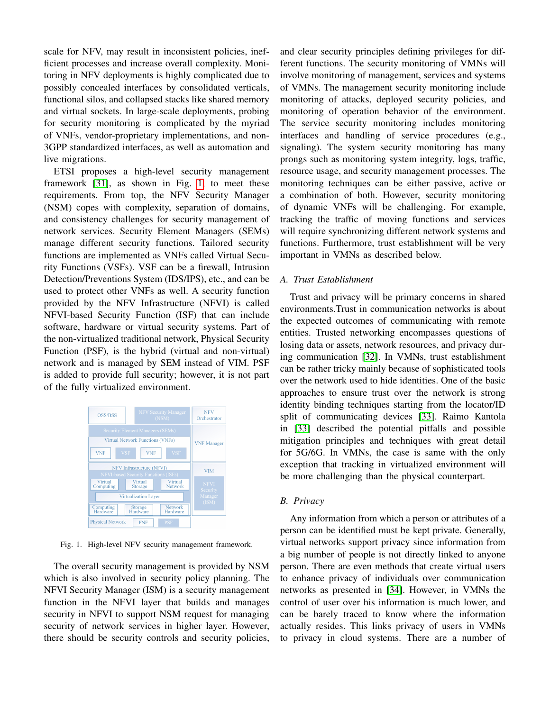scale for NFV, may result in inconsistent policies, inefficient processes and increase overall complexity. Monitoring in NFV deployments is highly complicated due to possibly concealed interfaces by consolidated verticals, functional silos, and collapsed stacks like shared memory and virtual sockets. In large-scale deployments, probing for security monitoring is complicated by the myriad of VNFs, vendor-proprietary implementations, and non-3GPP standardized interfaces, as well as automation and live migrations.

ETSI proposes a high-level security management framework [\[31\]](#page-5-22), as shown in Fig. [1,](#page-3-0) to meet these requirements. From top, the NFV Security Manager (NSM) copes with complexity, separation of domains, and consistency challenges for security management of network services. Security Element Managers (SEMs) manage different security functions. Tailored security functions are implemented as VNFs called Virtual Security Functions (VSFs). VSF can be a firewall, Intrusion Detection/Preventions System (IDS/IPS), etc., and can be used to protect other VNFs as well. A security function provided by the NFV Infrastructure (NFVI) is called NFVI-based Security Function (ISF) that can include software, hardware or virtual security systems. Part of the non-virtualized traditional network, Physical Security Function (PSF), is the hybrid (virtual and non-virtual) network and is managed by SEM instead of VIM. PSF is added to provide full security; however, it is not part of the fully virtualized environment.



<span id="page-3-0"></span>Fig. 1. High-level NFV security management framework.

The overall security management is provided by NSM which is also involved in security policy planning. The NFVI Security Manager (ISM) is a security management function in the NFVI layer that builds and manages security in NFVI to support NSM request for managing security of network services in higher layer. However, there should be security controls and security policies, and clear security principles defining privileges for different functions. The security monitoring of VMNs will involve monitoring of management, services and systems of VMNs. The management security monitoring include monitoring of attacks, deployed security policies, and monitoring of operation behavior of the environment. The service security monitoring includes monitoring interfaces and handling of service procedures (e.g., signaling). The system security monitoring has many prongs such as monitoring system integrity, logs, traffic, resource usage, and security management processes. The monitoring techniques can be either passive, active or a combination of both. However, security monitoring of dynamic VNFs will be challenging. For example, tracking the traffic of moving functions and services will require synchronizing different network systems and functions. Furthermore, trust establishment will be very important in VMNs as described below.

## *A. Trust Establishment*

Trust and privacy will be primary concerns in shared environments.Trust in communication networks is about the expected outcomes of communicating with remote entities. Trusted networking encompasses questions of losing data or assets, network resources, and privacy during communication [\[32\]](#page-5-23). In VMNs, trust establishment can be rather tricky mainly because of sophisticated tools over the network used to hide identities. One of the basic approaches to ensure trust over the network is strong identity binding techniques starting from the locator/ID split of communicating devices [\[33\]](#page-5-24). Raimo Kantola in [\[33\]](#page-5-24) described the potential pitfalls and possible mitigation principles and techniques with great detail for 5G/6G. In VMNs, the case is same with the only exception that tracking in virtualized environment will be more challenging than the physical counterpart.

#### *B. Privacy*

Any information from which a person or attributes of a person can be identified must be kept private. Generally, virtual networks support privacy since information from a big number of people is not directly linked to anyone person. There are even methods that create virtual users to enhance privacy of individuals over communication networks as presented in [\[34\]](#page-5-25). However, in VMNs the control of user over his information is much lower, and can be barely traced to know where the information actually resides. This links privacy of users in VMNs to privacy in cloud systems. There are a number of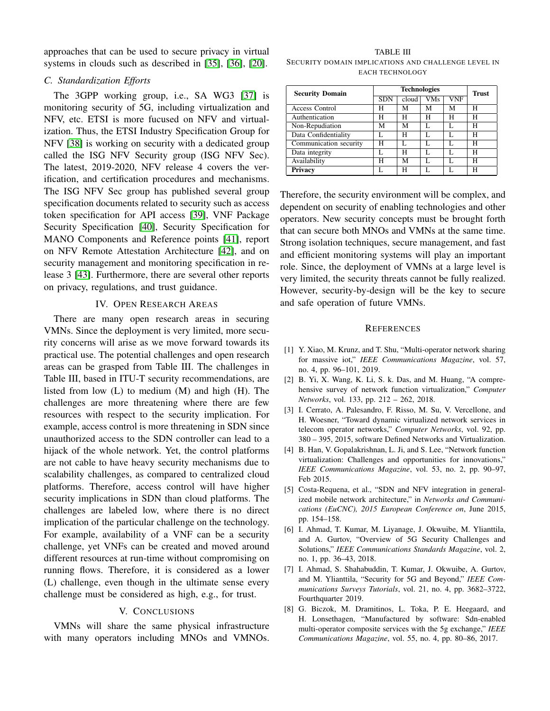approaches that can be used to secure privacy in virtual systems in clouds such as described in [\[35\]](#page-5-26), [\[36\]](#page-5-27), [\[20\]](#page-5-11).

### *C. Standardization Efforts*

The 3GPP working group, i.e., SA WG3 [\[37\]](#page-5-28) is monitoring security of 5G, including virtualization and NFV, etc. ETSI is more fucused on NFV and virtualization. Thus, the ETSI Industry Specification Group for NFV [\[38\]](#page-5-29) is working on security with a dedicated group called the ISG NFV Security group (ISG NFV Sec). The latest, 2019-2020, NFV release 4 covers the verification, and certification procedures and mechanisms. The ISG NFV Sec group has published several group specification documents related to security such as access token specification for API access [\[39\]](#page-5-30), VNF Package Security Specification [\[40\]](#page-5-31), Security Specification for MANO Components and Reference points [\[41\]](#page-5-32), report on NFV Remote Attestation Architecture [\[42\]](#page-5-33), and on security management and monitoring specification in release 3 [\[43\]](#page-5-34). Furthermore, there are several other reports on privacy, regulations, and trust guidance.

#### IV. OPEN RESEARCH AREAS

There are many open research areas in securing VMNs. Since the deployment is very limited, more security concerns will arise as we move forward towards its practical use. The potential challenges and open research areas can be grasped from Table III. The challenges in Table III, based in ITU-T security recommendations, are listed from low (L) to medium (M) and high (H). The challenges are more threatening where there are few resources with respect to the security implication. For example, access control is more threatening in SDN since unauthorized access to the SDN controller can lead to a hijack of the whole network. Yet, the control platforms are not cable to have heavy security mechanisms due to scalability challenges, as compared to centralized cloud platforms. Therefore, access control will have higher security implications in SDN than cloud platforms. The challenges are labeled low, where there is no direct implication of the particular challenge on the technology. For example, availability of a VNF can be a security challenge, yet VNFs can be created and moved around different resources at run-time without compromising on running flows. Therefore, it is considered as a lower (L) challenge, even though in the ultimate sense every challenge must be considered as high, e.g., for trust.

## V. CONCLUSIONS

VMNs will share the same physical infrastructure with many operators including MNOs and VMNOs.

TABLE III SECURITY DOMAIN IMPLICATIONS AND CHALLENGE LEVEL IN EACH TECHNOLOGY

| <b>Security Domain</b> | <b>Technologies</b> |       |            |     | <b>Trust</b> |
|------------------------|---------------------|-------|------------|-----|--------------|
|                        | <b>SDN</b>          | cloud | <b>VMs</b> | VNF |              |
| <b>Access Control</b>  | Н                   | М     | М          | М   | н            |
| Authentication         | Н                   | н     | Н          | н   | н            |
| Non-Repudiation        | М                   | М     |            |     | н            |
| Data Confidentiality   | L                   | н     |            | L   | н            |
| Communication security | Н                   |       |            | Ι.  | н            |
| Data integrity         |                     | н     | L          | L   | н            |
| Availability           | н                   | М     | L          | L   | н            |
| <b>Privacy</b>         |                     | н     |            |     | н            |

Therefore, the security environment will be complex, and dependent on security of enabling technologies and other operators. New security concepts must be brought forth that can secure both MNOs and VMNs at the same time. Strong isolation techniques, secure management, and fast and efficient monitoring systems will play an important role. Since, the deployment of VMNs at a large level is very limited, the security threats cannot be fully realized. However, security-by-design will be the key to secure and safe operation of future VMNs.

#### **REFERENCES**

- <span id="page-4-0"></span>[1] Y. Xiao, M. Krunz, and T. Shu, "Multi-operator network sharing for massive iot," *IEEE Communications Magazine*, vol. 57, no. 4, pp. 96–101, 2019.
- <span id="page-4-1"></span>[2] B. Yi, X. Wang, K. Li, S. k. Das, and M. Huang, "A comprehensive survey of network function virtualization," *Computer Networks*, vol. 133, pp. 212 – 262, 2018.
- <span id="page-4-2"></span>[3] I. Cerrato, A. Palesandro, F. Risso, M. Su, V. Vercellone, and H. Woesner, "Toward dynamic virtualized network services in telecom operator networks," *Computer Networks*, vol. 92, pp. 380 – 395, 2015, software Defined Networks and Virtualization.
- <span id="page-4-3"></span>[4] B. Han, V. Gopalakrishnan, L. Ji, and S. Lee, "Network function virtualization: Challenges and opportunities for innovations," *IEEE Communications Magazine*, vol. 53, no. 2, pp. 90–97, Feb 2015.
- <span id="page-4-4"></span>[5] Costa-Requena, et al., "SDN and NFV integration in generalized mobile network architecture," in *Networks and Communications (EuCNC), 2015 European Conference on*, June 2015, pp. 154–158.
- <span id="page-4-5"></span>[6] I. Ahmad, T. Kumar, M. Liyanage, J. Okwuibe, M. Ylianttila, and A. Gurtov, "Overview of 5G Security Challenges and Solutions," *IEEE Communications Standards Magazine*, vol. 2, no. 1, pp. 36–43, 2018.
- <span id="page-4-6"></span>[7] I. Ahmad, S. Shahabuddin, T. Kumar, J. Okwuibe, A. Gurtov, and M. Ylianttila, "Security for 5G and Beyond," *IEEE Communications Surveys Tutorials*, vol. 21, no. 4, pp. 3682–3722, Fourthquarter 2019.
- <span id="page-4-7"></span>[8] G. Biczok, M. Dramitinos, L. Toka, P. E. Heegaard, and H. Lonsethagen, "Manufactured by software: Sdn-enabled multi-operator composite services with the 5g exchange," *IEEE Communications Magazine*, vol. 55, no. 4, pp. 80–86, 2017.